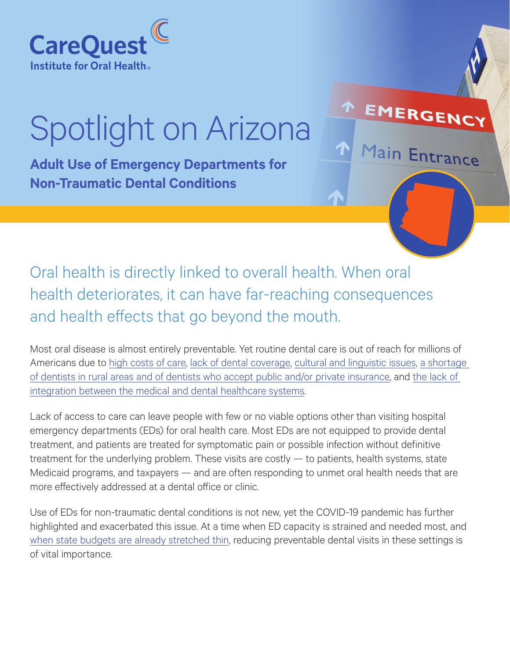

# Spotlight on Arizona

**Adult Use of Emergency Departments for Non-Traumatic Dental Conditions**

Oral health is directly linked to overall health. When oral health deteriorates, it can have far-reaching consequences and health effects that go beyond the mouth.

Most oral disease is almost entirely preventable. Yet routine dental care is out of reach for millions of Americans due to [high costs of care](https://www.carequest.org/education/resource-library/poor-families-spend-10-times-more), [lack of dental coverage,](https://www.carequest.org/topics/adult-dental-benefit) [cultural and linguistic issues,](https://www.carequest.org/topics/health-equity) [a shortage](https://www.carequest.org/topics/expanded-access)  [of dentists in rural areas and of dentists who accept public and/or private insurance,](https://www.carequest.org/topics/expanded-access) and [the lack of](https://www.carequest.org/topics/medical-dental-integration)  [integration between the medical and dental healthcare systems.](https://www.carequest.org/topics/medical-dental-integration)

EMERGENC

Main Entrance

Lack of access to care can leave people with few or no viable options other than visiting hospital emergency departments (EDs) for oral health care. Most EDs are not equipped to provide dental treatment, and patients are treated for symptomatic pain or possible infection without definitive treatment for the underlying problem. These visits are costly — to patients, health systems, state Medicaid programs, and taxpayers — and are often responding to unmet oral health needs that are more effectively addressed at a dental office or clinic.

Use of EDs for non-traumatic dental conditions is not new, yet the COVID-19 pandemic has further highlighted and exacerbated this issue. At a time when ED capacity is strained and needed most, and [when state budgets are already stretched thin](https://www.carequest.org/system/files/CareQuest-Institute-Health-Mouths-Why-They-Matter-for-Adults-and-State-Budgets-Brief.pdf), reducing preventable dental visits in these settings is of vital importance.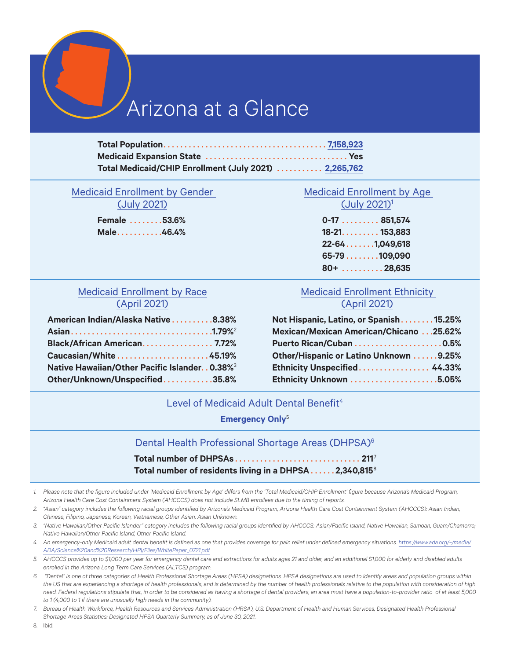# Arizona at a Glance

| Total Medicaid/CHIP Enrollment (July 2021)  2,265,762 |  |
|-------------------------------------------------------|--|

# [Medicaid Enrollment by Gender](https://azahcccs.gov/Resources/Downloads/PopulationStatistics/2021/July/AHCCCS_Demographics.pdf)

[\(July 2021\)](https://azahcccs.gov/Resources/Downloads/PopulationStatistics/2021/July/AHCCCS_Demographics.pdf)

**Female** . . . . . . . **53.6% Male** . . . . . . . . . . **46.4%**

# [Medicaid Enrollment by Age](https://azahcccs.gov/Resources/Downloads/PopulationStatistics/2021/July/AHCCCS_Demographics.pdf)  [\(July 2021\)1](https://azahcccs.gov/Resources/Downloads/PopulationStatistics/2021/July/AHCCCS_Demographics.pdf)

**0-17** . . . . . . . . **851,574 18-21** . . . . . . . . . **153,883 22-64** . . . . . . **1,049,618 65-79** . . . . . . . **109,090 80+** . . . . . . . . . **28,635**

# [Medicaid Enrollment by Race](https://www.azahcccs.gov/Resources/Downloads/PopulationStatistics/2021/Apr/AHCCCS_Demographics.pdf) [\(April 2021\)](https://www.azahcccs.gov/Resources/Downloads/PopulationStatistics/2021/Apr/AHCCCS_Demographics.pdf)

| American Indian/Alaska Native8.38%                       |  |
|----------------------------------------------------------|--|
|                                                          |  |
| Black/African American 7.72%                             |  |
| Caucasian/White45.19%                                    |  |
| Native Hawaiian/Other Pacific Islander0.38% <sup>3</sup> |  |
| Other/Unknown/Unspecified35.8%                           |  |

# [Medicaid Enrollment Ethnicity](https://www.azahcccs.gov/Resources/Downloads/PopulationStatistics/2021/Apr/AHCCCS_Demographics.pdf)  [\(April 2021\)](https://www.azahcccs.gov/Resources/Downloads/PopulationStatistics/2021/Apr/AHCCCS_Demographics.pdf)

| Not Hispanic, Latino, or Spanish15.25%         |  |
|------------------------------------------------|--|
| <b>Mexican/Mexican American/Chicano 25.62%</b> |  |
|                                                |  |
| Other/Hispanic or Latino Unknown 9.25%         |  |
| <b>Ethnicity Unspecified 44.33%</b>            |  |
| Ethnicity Unknown 5.05%                        |  |

## Level of Medicaid Adult Dental Benefit<sup>4</sup>

# **[Emergency Only](https://www.chcs.org/media/Adult-Oral-Health-Fact-Sheet_091519.pdf)**<sup>5</sup>

### Dental Health Professional Shortage Areas (DHPSA)6

| Total number of residents living in a DHPSA2,340,8158 |  |  |  |
|-------------------------------------------------------|--|--|--|

- *1. Please note that the figure included under 'Medicaid Enrollment by Age' differs from the 'Total Medicaid/CHIP Enrollment' figure because Arizona's Medicaid Program, Arizona Health Care Cost Containment System (AHCCCS) does not include SLMB enrollees due to the timing of reports.*
- *2. "Asian" category includes the following racial groups identified by Arizona's Medicaid Program, Arizona Health Care Cost Containment System (AHCCCS): Asian Indian, Chinese, Filipino, Japanese, Korean, Vietnamese, Other Asian, Asian Unknown.*
- *3. "Native Hawaiian/Other Pacific Islander" category includes the following racial groups identified by AHCCCS: Asian/Pacific Island, Native Hawaiian, Samoan, Guam/Chamorro; Native Hawaiian/Other Pacific Island; Other Pacific Island.*
- *4. An emergency-only Medicaid adult dental benefit is defined as one that provides coverage for pain relief under defined emergency situations. [https://www.ada.org/~/media/](https://www.ada.org/~/media/ADA/Science%20and%20Research/HPI/Files/WhitePaper_0721.pdf) [ADA/Science%20and%20Research/HPI/Files/WhitePaper\\_0721.pdf](https://www.ada.org/~/media/ADA/Science%20and%20Research/HPI/Files/WhitePaper_0721.pdf)*
- *5. AHCCCS provides up to \$1,000 per year for emergency dental care and extractions for adults ages 21 and older, and an additional \$1,000 for elderly and disabled adults enrolled in the Arizona Long Term Care Services (ALTCS) program.*
- *6. "Dental" is one of three categories of Health Professional Shortage Areas (HPSA) designations. HPSA designations are used to identify areas and population groups within the US that are experiencing a shortage of health professionals, and is determined by the number of health professionals relative to the population with consideration of high need. Federal regulations stipulate that, in order to be considered as having a shortage of dental providers, an area must have a population-to-provider ratio of at least 5,000 to 1 (4,000 to 1 if there are unusually high needs in the community).*
- *7. Bureau of Health Workforce, Health Resources and Services Administration (HRSA), U.S. Department of Health and Human Services, Designated Health Professional Shortage Areas Statistics: Designated HPSA Quarterly Summary, as of June 30, 2021.*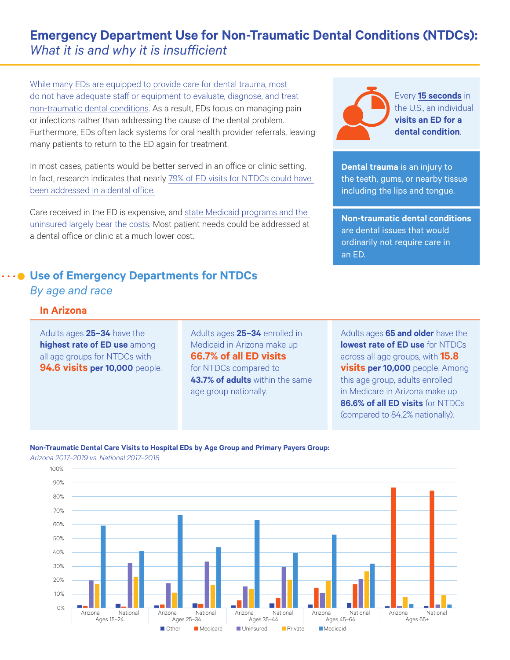# **Emergency Department Use for Non-Traumatic Dental Conditions (NTDCs):**  *What it is and why it is insufficient*

[While many EDs are equipped to provide care for dental trauma, most](https://onlinelibrary.wiley.com/doi/10.1111/jphd.12458)  [do not have adequate staff or equipment to evaluate, diagnose, and treat](https://onlinelibrary.wiley.com/doi/10.1111/jphd.12458)  [non-traumatic dental conditions.](https://onlinelibrary.wiley.com/doi/10.1111/jphd.12458) As a result, EDs focus on managing pain or infections rather than addressing the cause of the dental problem. Furthermore, EDs often lack systems for oral health provider referrals, leaving many patients to return to the ED again for treatment.

In most cases, patients would be better served in an office or clinic setting. In fact, research indicates that nearly [79% of ED visits for NTDCs could have](https://www.ada.org/~/media/ADA/Science and Research/HPI/Files/HPIBrief_0814_1.ashx)  [been addressed in a dental office.](https://www.ada.org/~/media/ADA/Science and Research/HPI/Files/HPIBrief_0814_1.ashx)

Care received in the ED is expensive, and [state Medicaid programs and the](https://www.carequest.org/education/resource-library/healthy-mouths-why-they-matter-adults-and-state)  [uninsured largely bear the costs](https://www.carequest.org/education/resource-library/healthy-mouths-why-they-matter-adults-and-state). Most patient needs could be addressed at a dental office or clinic at a much lower cost.

# **Use of Emergency Departments for NTDCs** *By age and race*

Every **[15 seconds](https://www.ada.org/~/media/ADA/Science and Research/HPI/Files/HPIgraphic_0420_1.pdf?la=en)** in the U.S., an individual **visits an ED for a dental condition**.

**Dental trauma** is an injury to the teeth, gums, or nearby tissue including the lips and tongue.

**Non-traumatic dental conditions** are dental issues that would ordinarily not require care in an ED.

# **In Arizona**

Adults ages **25–34** have the **highest rate of ED use** among all age groups for NTDCs with **94.6 visits per 10,000** people. Adults ages **25–34** enrolled in Medicaid in Arizona make up **66.7% of all ED visits**  for NTDCs compared to **43.7% of adults** within the same age group nationally.

Adults ages **65 and older** have the **lowest rate of ED use** for NTDCs across all age groups, with **15.8 visits per 10,000** people. Among this age group, adults enrolled in Medicare in Arizona make up **86.6% of all ED visits** for NTDCs (compared to 84.2% nationally).

#### **Non-Traumatic Dental Care Visits to Hospital EDs by Age Group and Primary Payers Group:**  *Arizona 2017–2019 vs. National 2017–2018*

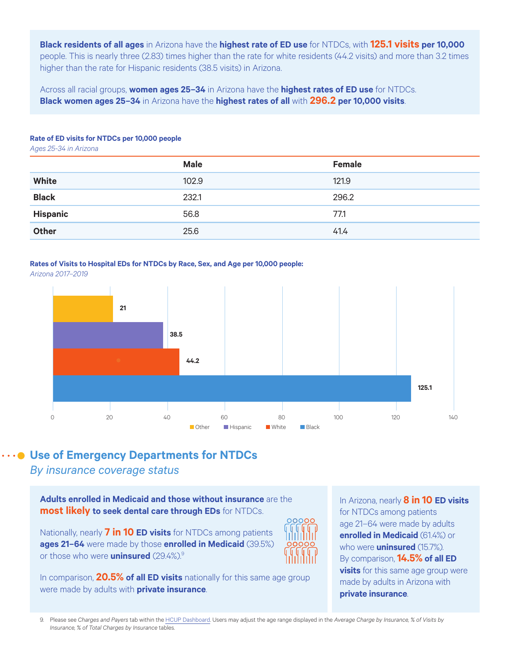**Black residents of all ages** in Arizona have the **highest rate of ED use** for NTDCs, with **125.1 visits per 10,000** people. This is nearly three (2.83) times higher than the rate for white residents (44.2 visits) and more than 3.2 times higher than the rate for Hispanic residents (38.5 visits) in Arizona.

Across all racial groups, **women ages 25–34** in Arizona have the **highest rates of ED use** for NTDCs. **Black women ages 25–34** in Arizona have the **highest rates of all** with **296.2 per 10,000 visits**.

#### **Rate of ED visits for NTDCs per 10,000 people**

*Ages 25-34 in Arizona*

|                 | <b>Male</b> | <b>Female</b> |
|-----------------|-------------|---------------|
| <b>White</b>    | 102.9       | 121.9         |
| <b>Black</b>    | 232.1       | 296.2         |
| <b>Hispanic</b> | 56.8        | 77.1          |
| <b>Other</b>    | 25.6        | 41.4          |
|                 |             |               |

# **Rates of Visits to Hospital EDs for NTDCs by Race, Sex, and Age per 10,000 people:**

*Arizona 2017–2019*



# **Use of Emergency Departments for NTDCs**

*By insurance coverage status*

**Adults enrolled in Medicaid and those without insurance** are the **most likely to seek dental care through EDs** for NTDCs.

Nationally, nearly **7 in 10 ED visits** for NTDCs among patients **ages 21–64** were made by those **enrolled in Medicaid** (39.5%) or those who were **uninsured** (29.4%).9



In comparison, **20.5% of all ED visits** nationally for this same age group were made by adults with **private insurance**.

In Arizona, nearly **8 in 10 ED visits** for NTDCs among patients age 21–64 were made by adults **enrolled in Medicaid** (61.4%) or who were **uninsured** (15.7%). By comparison, **14.5% of all ED visits** for this same age group were made by adults in Arizona with **private insurance**.

9. Please see *Charges and Payers* tab within the [HCUP Dashboard](https://public.tableau.com/app/profile/dentaquest.partnership/viz/DQHCUPEDVisitsforNTDCs/ChargesandPayers). Users may adjust the age range displayed in the *Average Charge by Insurance, % of Visits by Insurance, % of Total Charges by Insurance* tables.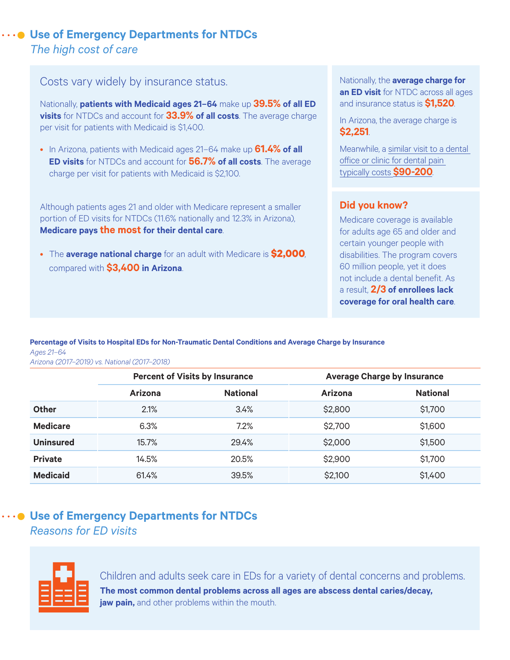# **Use of Emergency Departments for NTDCs**  *The high cost of care*

# Costs vary widely by insurance status.

Nationally, **patients with Medicaid ages 21–64** make up **39.5% of all ED visits** for NTDCs and account for **33.9% of all costs**. The average charge per visit for patients with Medicaid is \$1,400.

• In Arizona, patients with Medicaid ages 21–64 make up **61.4% of all ED visits** for NTDCs and account for **56.7% of all costs**. The average charge per visit for patients with Medicaid is \$2,100.

Although patients ages 21 and older with Medicare represent a smaller portion of ED visits for NTDCs (11.6% nationally and 12.3% in Arizona), **Medicare pays the most for their dental care**.

• The **average national charge** for an adult with Medicare is **\$2,000**, compared with **\$3,400 in Arizona**.

Nationally, the **average charge for an ED visit** for NTDC across all ages and insurance status is **\$1,520**.

In Arizona, the average charge is **\$2,251**.

Meanwhile, a [similar visit to a dental](http://www.ada.org/~/media/ADA/Public Programs/Files/ER_Utilization_Issues_Flyer.ashx)  [office or clinic for dental pain](http://www.ada.org/~/media/ADA/Public Programs/Files/ER_Utilization_Issues_Flyer.ashx)  [typically costs](http://www.ada.org/~/media/ADA/Public Programs/Files/ER_Utilization_Issues_Flyer.ashx) **\$90-200**.

# **Did you know?**

Medicare coverage is available for adults age 65 and older and certain younger people with disabilities. The program covers 60 million people, yet it does not include a dental benefit. As a result, **2/3 of enrollees lack coverage for oral health care**.

### **Percentage of Visits to Hospital EDs for Non-Traumatic Dental Conditions and Average Charge by Insurance** *Ages 21–64*

*Arizona (2017–2019) vs. National (2017–2018)*

|                  | <b>Percent of Visits by Insurance</b> |                 | <b>Average Charge by Insurance</b> |                 |
|------------------|---------------------------------------|-----------------|------------------------------------|-----------------|
|                  | <b>Arizona</b>                        | <b>National</b> | <b>Arizona</b>                     | <b>National</b> |
| <b>Other</b>     | 2.1%                                  | 3.4%            | \$2,800                            | \$1,700         |
| <b>Medicare</b>  | 6.3%                                  | 7.2%            | \$2,700                            | \$1,600         |
| <b>Uninsured</b> | 15.7%                                 | 29.4%           | \$2,000                            | \$1,500         |
| <b>Private</b>   | 14.5%                                 | 20.5%           | \$2,900                            | \$1,700         |
| <b>Medicaid</b>  | 61.4%                                 | 39.5%           | \$2,100                            | \$1,400         |

# **Use of Emergency Departments for NTDCs**  *Reasons for ED visits*



Children and adults seek care in EDs for a variety of dental concerns and problems. **The most common dental problems across all ages are abscess dental caries/decay, jaw pain,** and other problems within the mouth.